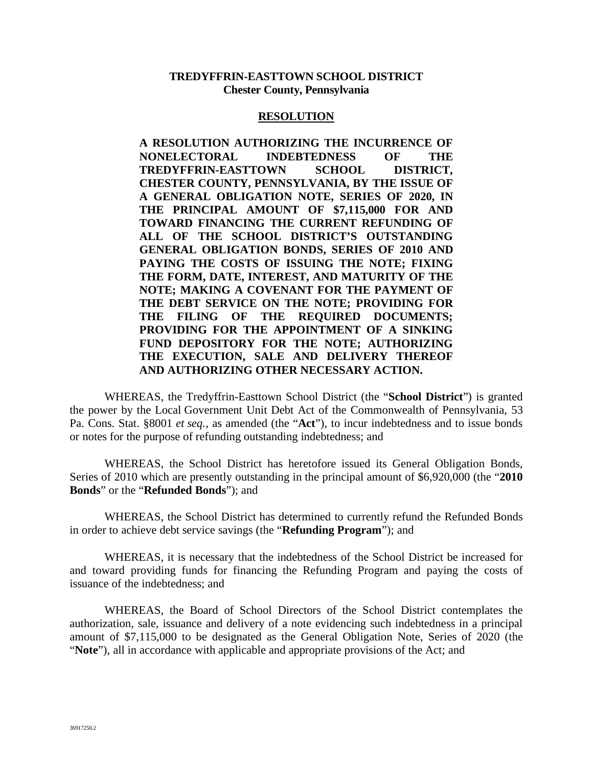#### **TREDYFFRIN-EASTTOWN SCHOOL DISTRICT Chester County, Pennsylvania**

#### **RESOLUTION**

**A RESOLUTION AUTHORIZING THE INCURRENCE OF NONELECTORAL INDEBTEDNESS OF THE TREDYFFRIN-EASTTOWN SCHOOL DISTRICT, CHESTER COUNTY, PENNSYLVANIA, BY THE ISSUE OF A GENERAL OBLIGATION NOTE, SERIES OF 2020, IN THE PRINCIPAL AMOUNT OF \$7,115,000 FOR AND TOWARD FINANCING THE CURRENT REFUNDING OF ALL OF THE SCHOOL DISTRICT'S OUTSTANDING GENERAL OBLIGATION BONDS, SERIES OF 2010 AND PAYING THE COSTS OF ISSUING THE NOTE; FIXING THE FORM, DATE, INTEREST, AND MATURITY OF THE NOTE; MAKING A COVENANT FOR THE PAYMENT OF THE DEBT SERVICE ON THE NOTE; PROVIDING FOR THE FILING OF THE REQUIRED DOCUMENTS; PROVIDING FOR THE APPOINTMENT OF A SINKING FUND DEPOSITORY FOR THE NOTE; AUTHORIZING THE EXECUTION, SALE AND DELIVERY THEREOF AND AUTHORIZING OTHER NECESSARY ACTION.**

WHEREAS, the Tredyffrin-Easttown School District (the "**School District**") is granted the power by the Local Government Unit Debt Act of the Commonwealth of Pennsylvania, 53 Pa. Cons. Stat. §8001 *et seq.*, as amended (the "**Act**"), to incur indebtedness and to issue bonds or notes for the purpose of refunding outstanding indebtedness; and

WHEREAS, the School District has heretofore issued its General Obligation Bonds, Series of 2010 which are presently outstanding in the principal amount of \$6,920,000 (the "**2010 Bonds**" or the "**Refunded Bonds**"); and

WHEREAS, the School District has determined to currently refund the Refunded Bonds in order to achieve debt service savings (the "**Refunding Program**"); and

WHEREAS, it is necessary that the indebtedness of the School District be increased for and toward providing funds for financing the Refunding Program and paying the costs of issuance of the indebtedness; and

WHEREAS, the Board of School Directors of the School District contemplates the authorization, sale, issuance and delivery of a note evidencing such indebtedness in a principal amount of \$7,115,000 to be designated as the General Obligation Note, Series of 2020 (the "**Note**"), all in accordance with applicable and appropriate provisions of the Act; and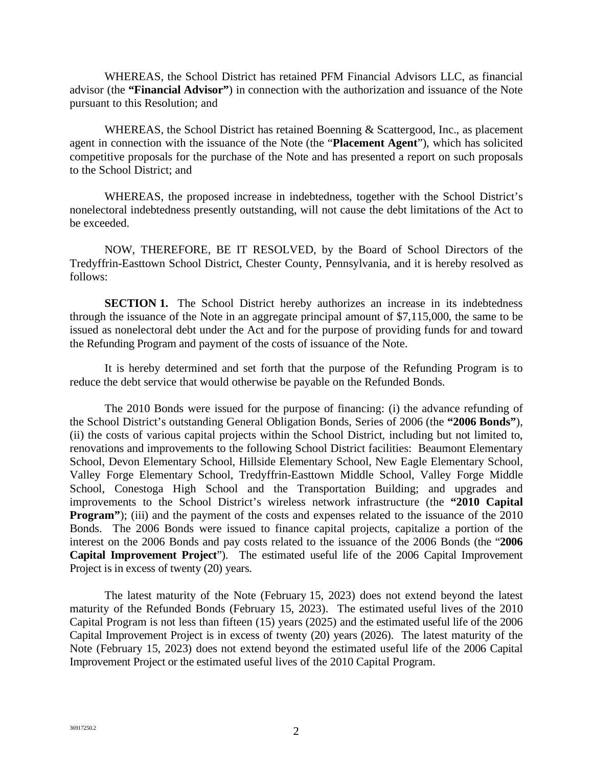WHEREAS, the School District has retained PFM Financial Advisors LLC, as financial advisor (the **"Financial Advisor"**) in connection with the authorization and issuance of the Note pursuant to this Resolution; and

WHEREAS, the School District has retained Boenning & Scattergood, Inc., as placement agent in connection with the issuance of the Note (the "**Placement Agent**"), which has solicited competitive proposals for the purchase of the Note and has presented a report on such proposals to the School District; and

WHEREAS, the proposed increase in indebtedness, together with the School District's nonelectoral indebtedness presently outstanding, will not cause the debt limitations of the Act to be exceeded.

NOW, THEREFORE, BE IT RESOLVED, by the Board of School Directors of the Tredyffrin-Easttown School District, Chester County, Pennsylvania, and it is hereby resolved as follows:

**SECTION 1.** The School District hereby authorizes an increase in its indebtedness through the issuance of the Note in an aggregate principal amount of \$7,115,000, the same to be issued as nonelectoral debt under the Act and for the purpose of providing funds for and toward the Refunding Program and payment of the costs of issuance of the Note.

It is hereby determined and set forth that the purpose of the Refunding Program is to reduce the debt service that would otherwise be payable on the Refunded Bonds.

The 2010 Bonds were issued for the purpose of financing: (i) the advance refunding of the School District's outstanding General Obligation Bonds, Series of 2006 (the **"2006 Bonds"**), (ii) the costs of various capital projects within the School District, including but not limited to, renovations and improvements to the following School District facilities: Beaumont Elementary School, Devon Elementary School, Hillside Elementary School, New Eagle Elementary School, Valley Forge Elementary School, Tredyffrin-Easttown Middle School, Valley Forge Middle School, Conestoga High School and the Transportation Building; and upgrades and improvements to the School District's wireless network infrastructure (the **"2010 Capital Program**"); (iii) and the payment of the costs and expenses related to the issuance of the 2010 Bonds. The 2006 Bonds were issued to finance capital projects, capitalize a portion of the interest on the 2006 Bonds and pay costs related to the issuance of the 2006 Bonds (the "**2006 Capital Improvement Project**"). The estimated useful life of the 2006 Capital Improvement Project is in excess of twenty (20) years.

The latest maturity of the Note (February 15, 2023) does not extend beyond the latest maturity of the Refunded Bonds (February 15, 2023). The estimated useful lives of the 2010 Capital Program is not less than fifteen (15) years (2025) and the estimated useful life of the 2006 Capital Improvement Project is in excess of twenty (20) years (2026). The latest maturity of the Note (February 15, 2023) does not extend beyond the estimated useful life of the 2006 Capital Improvement Project or the estimated useful lives of the 2010 Capital Program.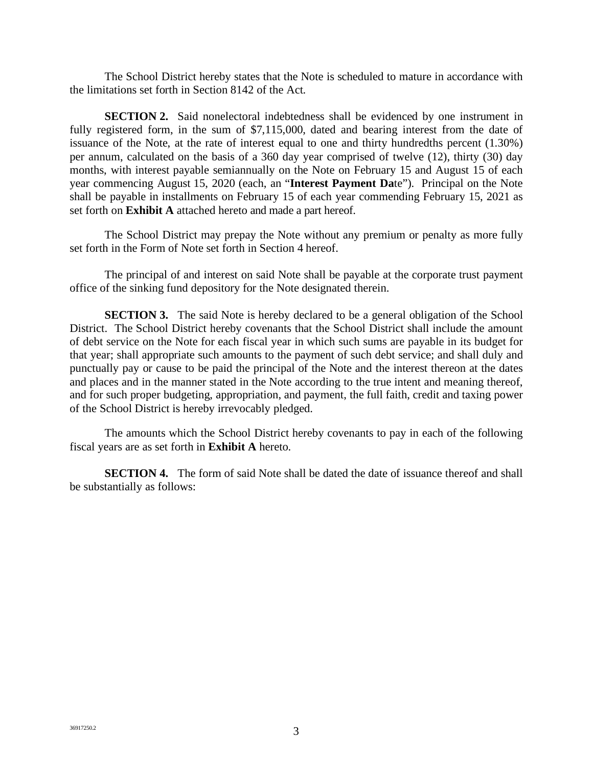The School District hereby states that the Note is scheduled to mature in accordance with the limitations set forth in Section 8142 of the Act.

**SECTION 2.** Said nonelectoral indebtedness shall be evidenced by one instrument in fully registered form, in the sum of \$7,115,000, dated and bearing interest from the date of issuance of the Note, at the rate of interest equal to one and thirty hundredths percent (1.30%) per annum, calculated on the basis of a 360 day year comprised of twelve (12), thirty (30) day months, with interest payable semiannually on the Note on February 15 and August 15 of each year commencing August 15, 2020 (each, an "**Interest Payment Da**te"). Principal on the Note shall be payable in installments on February 15 of each year commending February 15, 2021 as set forth on **Exhibit A** attached hereto and made a part hereof.

The School District may prepay the Note without any premium or penalty as more fully set forth in the Form of Note set forth in Section 4 hereof.

The principal of and interest on said Note shall be payable at the corporate trust payment office of the sinking fund depository for the Note designated therein.

**SECTION 3.** The said Note is hereby declared to be a general obligation of the School District. The School District hereby covenants that the School District shall include the amount of debt service on the Note for each fiscal year in which such sums are payable in its budget for that year; shall appropriate such amounts to the payment of such debt service; and shall duly and punctually pay or cause to be paid the principal of the Note and the interest thereon at the dates and places and in the manner stated in the Note according to the true intent and meaning thereof, and for such proper budgeting, appropriation, and payment, the full faith, credit and taxing power of the School District is hereby irrevocably pledged.

The amounts which the School District hereby covenants to pay in each of the following fiscal years are as set forth in **Exhibit A** hereto.

**SECTION 4.** The form of said Note shall be dated the date of issuance thereof and shall be substantially as follows: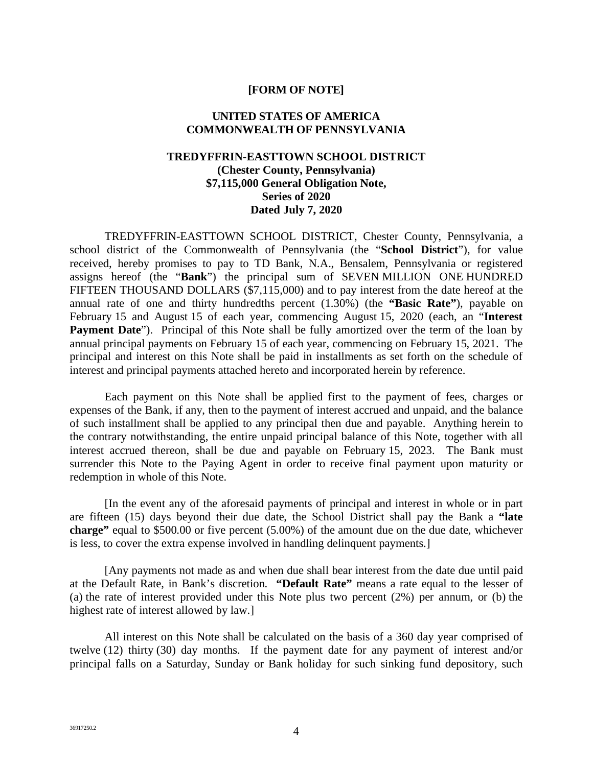#### **[FORM OF NOTE]**

#### **UNITED STATES OF AMERICA COMMONWEALTH OF PENNSYLVANIA**

#### **TREDYFFRIN-EASTTOWN SCHOOL DISTRICT (Chester County, Pennsylvania) \$7,115,000 General Obligation Note, Series of 2020 Dated July 7, 2020**

TREDYFFRIN-EASTTOWN SCHOOL DISTRICT, Chester County, Pennsylvania, a school district of the Commonwealth of Pennsylvania (the "**School District**"), for value received, hereby promises to pay to TD Bank, N.A., Bensalem, Pennsylvania or registered assigns hereof (the "**Bank**") the principal sum of SEVEN MILLION ONE HUNDRED FIFTEEN THOUSAND DOLLARS (\$7,115,000) and to pay interest from the date hereof at the annual rate of one and thirty hundredths percent (1.30%) (the **"Basic Rate"**), payable on February 15 and August 15 of each year, commencing August 15, 2020 (each, an "**Interest Payment Date**"). Principal of this Note shall be fully amortized over the term of the loan by annual principal payments on February 15 of each year, commencing on February 15, 2021. The principal and interest on this Note shall be paid in installments as set forth on the schedule of interest and principal payments attached hereto and incorporated herein by reference.

Each payment on this Note shall be applied first to the payment of fees, charges or expenses of the Bank, if any, then to the payment of interest accrued and unpaid, and the balance of such installment shall be applied to any principal then due and payable. Anything herein to the contrary notwithstanding, the entire unpaid principal balance of this Note, together with all interest accrued thereon, shall be due and payable on February 15, 2023. The Bank must surrender this Note to the Paying Agent in order to receive final payment upon maturity or redemption in whole of this Note.

[In the event any of the aforesaid payments of principal and interest in whole or in part are fifteen (15) days beyond their due date, the School District shall pay the Bank a **"late charge"** equal to \$500.00 or five percent (5.00%) of the amount due on the due date, whichever is less, to cover the extra expense involved in handling delinquent payments.]

[Any payments not made as and when due shall bear interest from the date due until paid at the Default Rate, in Bank's discretion. **"Default Rate"** means a rate equal to the lesser of (a) the rate of interest provided under this Note plus two percent (2%) per annum, or (b) the highest rate of interest allowed by law.]

All interest on this Note shall be calculated on the basis of a 360 day year comprised of twelve (12) thirty (30) day months. If the payment date for any payment of interest and/or principal falls on a Saturday, Sunday or Bank holiday for such sinking fund depository, such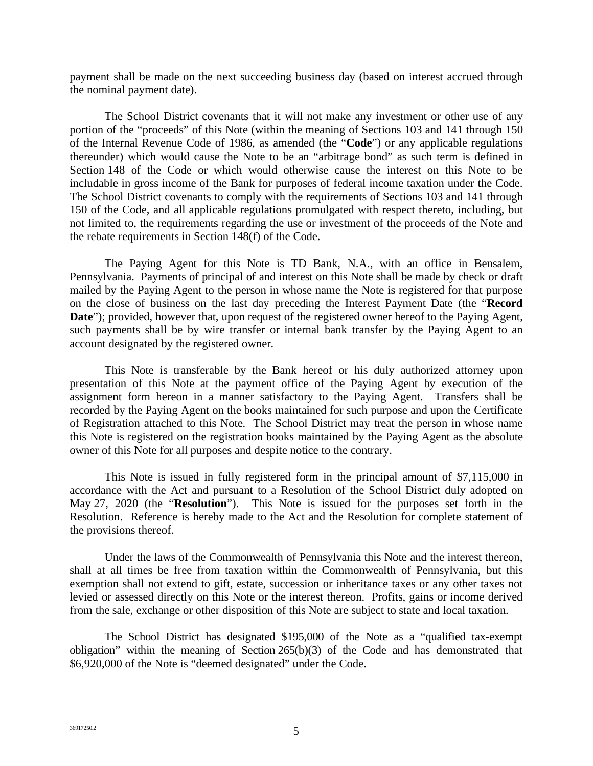payment shall be made on the next succeeding business day (based on interest accrued through the nominal payment date).

The School District covenants that it will not make any investment or other use of any portion of the "proceeds" of this Note (within the meaning of Sections 103 and 141 through 150 of the Internal Revenue Code of 1986, as amended (the "**Code**") or any applicable regulations thereunder) which would cause the Note to be an "arbitrage bond" as such term is defined in Section 148 of the Code or which would otherwise cause the interest on this Note to be includable in gross income of the Bank for purposes of federal income taxation under the Code. The School District covenants to comply with the requirements of Sections 103 and 141 through 150 of the Code, and all applicable regulations promulgated with respect thereto, including, but not limited to, the requirements regarding the use or investment of the proceeds of the Note and the rebate requirements in Section 148(f) of the Code.

The Paying Agent for this Note is TD Bank, N.A., with an office in Bensalem, Pennsylvania. Payments of principal of and interest on this Note shall be made by check or draft mailed by the Paying Agent to the person in whose name the Note is registered for that purpose on the close of business on the last day preceding the Interest Payment Date (the "**Record Date**"); provided, however that, upon request of the registered owner hereof to the Paying Agent, such payments shall be by wire transfer or internal bank transfer by the Paying Agent to an account designated by the registered owner.

This Note is transferable by the Bank hereof or his duly authorized attorney upon presentation of this Note at the payment office of the Paying Agent by execution of the assignment form hereon in a manner satisfactory to the Paying Agent. Transfers shall be recorded by the Paying Agent on the books maintained for such purpose and upon the Certificate of Registration attached to this Note. The School District may treat the person in whose name this Note is registered on the registration books maintained by the Paying Agent as the absolute owner of this Note for all purposes and despite notice to the contrary.

This Note is issued in fully registered form in the principal amount of \$7,115,000 in accordance with the Act and pursuant to a Resolution of the School District duly adopted on May 27, 2020 (the "**Resolution**"). This Note is issued for the purposes set forth in the Resolution. Reference is hereby made to the Act and the Resolution for complete statement of the provisions thereof.

Under the laws of the Commonwealth of Pennsylvania this Note and the interest thereon, shall at all times be free from taxation within the Commonwealth of Pennsylvania, but this exemption shall not extend to gift, estate, succession or inheritance taxes or any other taxes not levied or assessed directly on this Note or the interest thereon. Profits, gains or income derived from the sale, exchange or other disposition of this Note are subject to state and local taxation.

The School District has designated \$195,000 of the Note as a "qualified tax-exempt obligation" within the meaning of Section 265(b)(3) of the Code and has demonstrated that \$6,920,000 of the Note is "deemed designated" under the Code.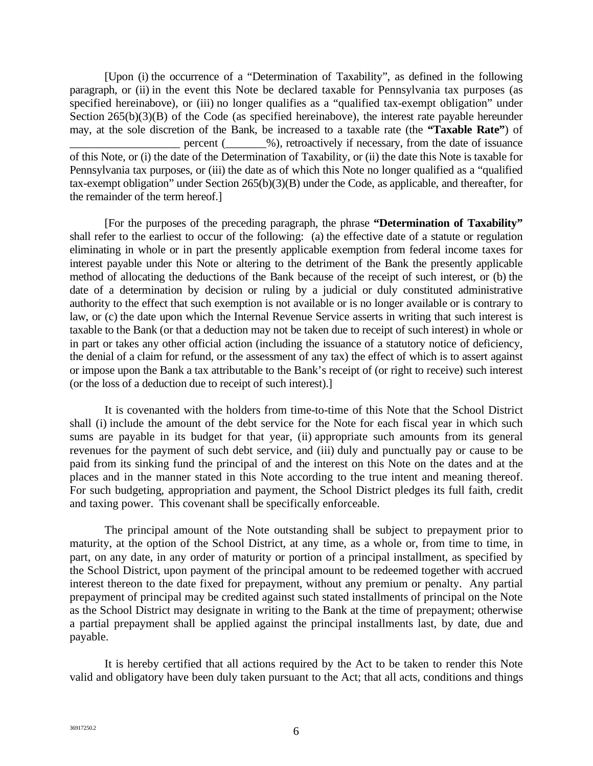[Upon (i) the occurrence of a "Determination of Taxability", as defined in the following paragraph, or (ii) in the event this Note be declared taxable for Pennsylvania tax purposes (as specified hereinabove), or (iii) no longer qualifies as a "qualified tax-exempt obligation" under Section 265(b)(3)(B) of the Code (as specified hereinabove), the interest rate payable hereunder may, at the sole discretion of the Bank, be increased to a taxable rate (the **"Taxable Rate"**) of percent ( $\_\_\_\%$ ), retroactively if necessary, from the date of issuance of this Note, or (i) the date of the Determination of Taxability, or (ii) the date this Note is taxable for Pennsylvania tax purposes, or (iii) the date as of which this Note no longer qualified as a "qualified tax-exempt obligation" under Section 265(b)(3)(B) under the Code, as applicable, and thereafter, for the remainder of the term hereof.]

[For the purposes of the preceding paragraph, the phrase **"Determination of Taxability"** shall refer to the earliest to occur of the following: (a) the effective date of a statute or regulation eliminating in whole or in part the presently applicable exemption from federal income taxes for interest payable under this Note or altering to the detriment of the Bank the presently applicable method of allocating the deductions of the Bank because of the receipt of such interest, or (b) the date of a determination by decision or ruling by a judicial or duly constituted administrative authority to the effect that such exemption is not available or is no longer available or is contrary to law, or (c) the date upon which the Internal Revenue Service asserts in writing that such interest is taxable to the Bank (or that a deduction may not be taken due to receipt of such interest) in whole or in part or takes any other official action (including the issuance of a statutory notice of deficiency, the denial of a claim for refund, or the assessment of any tax) the effect of which is to assert against or impose upon the Bank a tax attributable to the Bank's receipt of (or right to receive) such interest (or the loss of a deduction due to receipt of such interest).]

It is covenanted with the holders from time-to-time of this Note that the School District shall (i) include the amount of the debt service for the Note for each fiscal year in which such sums are payable in its budget for that year, (ii) appropriate such amounts from its general revenues for the payment of such debt service, and (iii) duly and punctually pay or cause to be paid from its sinking fund the principal of and the interest on this Note on the dates and at the places and in the manner stated in this Note according to the true intent and meaning thereof. For such budgeting, appropriation and payment, the School District pledges its full faith, credit and taxing power. This covenant shall be specifically enforceable.

The principal amount of the Note outstanding shall be subject to prepayment prior to maturity, at the option of the School District, at any time, as a whole or, from time to time, in part, on any date, in any order of maturity or portion of a principal installment, as specified by the School District, upon payment of the principal amount to be redeemed together with accrued interest thereon to the date fixed for prepayment, without any premium or penalty. Any partial prepayment of principal may be credited against such stated installments of principal on the Note as the School District may designate in writing to the Bank at the time of prepayment; otherwise a partial prepayment shall be applied against the principal installments last, by date, due and payable.

It is hereby certified that all actions required by the Act to be taken to render this Note valid and obligatory have been duly taken pursuant to the Act; that all acts, conditions and things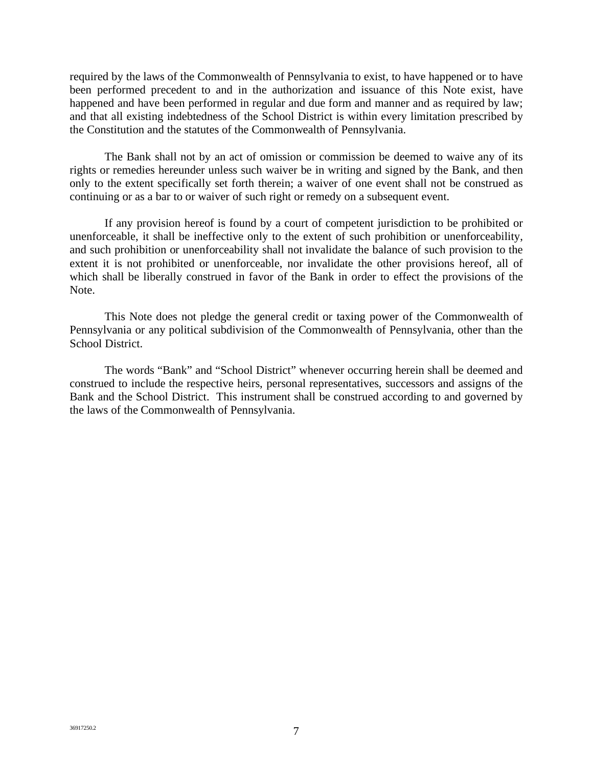required by the laws of the Commonwealth of Pennsylvania to exist, to have happened or to have been performed precedent to and in the authorization and issuance of this Note exist, have happened and have been performed in regular and due form and manner and as required by law; and that all existing indebtedness of the School District is within every limitation prescribed by the Constitution and the statutes of the Commonwealth of Pennsylvania.

The Bank shall not by an act of omission or commission be deemed to waive any of its rights or remedies hereunder unless such waiver be in writing and signed by the Bank, and then only to the extent specifically set forth therein; a waiver of one event shall not be construed as continuing or as a bar to or waiver of such right or remedy on a subsequent event.

If any provision hereof is found by a court of competent jurisdiction to be prohibited or unenforceable, it shall be ineffective only to the extent of such prohibition or unenforceability, and such prohibition or unenforceability shall not invalidate the balance of such provision to the extent it is not prohibited or unenforceable, nor invalidate the other provisions hereof, all of which shall be liberally construed in favor of the Bank in order to effect the provisions of the Note.

This Note does not pledge the general credit or taxing power of the Commonwealth of Pennsylvania or any political subdivision of the Commonwealth of Pennsylvania, other than the School District.

The words "Bank" and "School District" whenever occurring herein shall be deemed and construed to include the respective heirs, personal representatives, successors and assigns of the Bank and the School District. This instrument shall be construed according to and governed by the laws of the Commonwealth of Pennsylvania.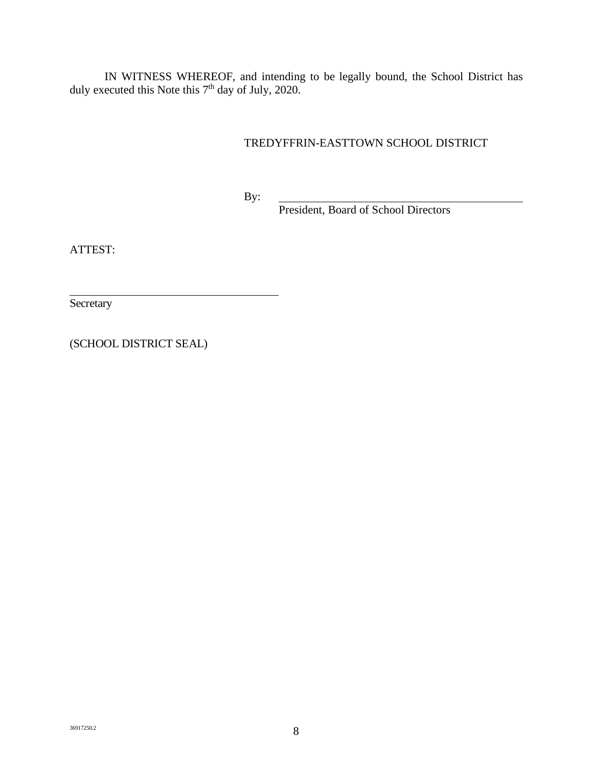IN WITNESS WHEREOF, and intending to be legally bound, the School District has duly executed this Note this  $7<sup>th</sup>$  day of July, 2020.

# TREDYFFRIN-EASTTOWN SCHOOL DISTRICT

By:

President, Board of School Directors

ATTEST:

**Secretary** 

(SCHOOL DISTRICT SEAL)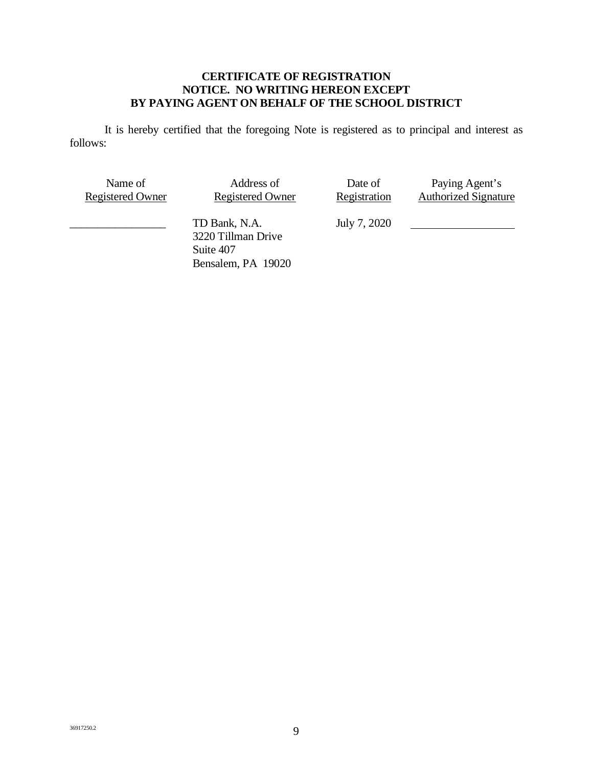### **CERTIFICATE OF REGISTRATION NOTICE. NO WRITING HEREON EXCEPT BY PAYING AGENT ON BEHALF OF THE SCHOOL DISTRICT**

It is hereby certified that the foregoing Note is registered as to principal and interest as follows:

| Name of                 | Address of                                                             | Date of      | Paying Agent's              |
|-------------------------|------------------------------------------------------------------------|--------------|-----------------------------|
| <b>Registered Owner</b> | <b>Registered Owner</b>                                                | Registration | <b>Authorized Signature</b> |
|                         | TD Bank, N.A.<br>3220 Tillman Drive<br>Suite 407<br>Bensalem, PA 19020 | July 7, 2020 |                             |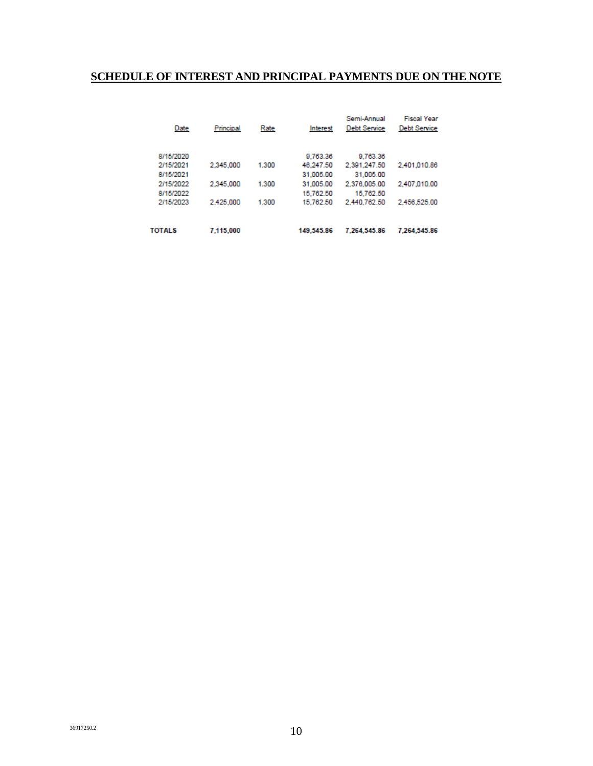# **SCHEDULE OF INTEREST AND PRINCIPAL PAYMENTS DUE ON THE NOTE**

| Date          | Principal | Rate  | Interest   | Semi-Annual<br><b>Debt Service</b> | <b>Fiscal Year</b><br><b>Debt Service</b> |
|---------------|-----------|-------|------------|------------------------------------|-------------------------------------------|
| 8/15/2020     |           |       | 9.763.36   | 9.763.36                           |                                           |
| 2/15/2021     | 2,345,000 | 1.300 | 46.247.50  | 2.391.247.50                       | 2,401,010.86                              |
| 8/15/2021     |           |       | 31.005.00  | 31.005.00                          |                                           |
| 2/15/2022     | 2,345,000 | 1.300 | 31.005.00  | 2.376.005.00                       | 2.407.010.00                              |
| 8/15/2022     |           |       | 15.762.50  | 15.762.50                          |                                           |
| 2/15/2023     | 2,425,000 | 1.300 | 15.762.50  | 2,440,762.50                       | 2.456.525.00                              |
|               |           |       |            |                                    |                                           |
| <b>TOTALS</b> | 7.115.000 |       | 149,545.86 | 7.264.545.86                       | 7.264.545.86                              |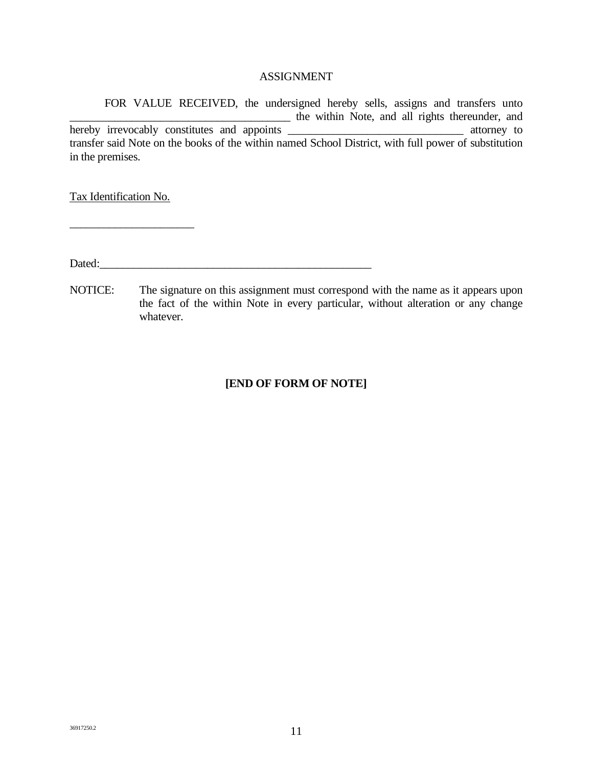#### ASSIGNMENT

FOR VALUE RECEIVED, the undersigned hereby sells, assigns and transfers unto \_\_\_\_\_\_\_\_\_\_\_\_\_\_\_\_\_\_\_\_\_\_\_\_\_\_\_\_\_\_\_\_\_\_\_\_\_\_\_ the within Note, and all rights thereunder, and hereby irrevocably constitutes and appoints \_\_\_\_\_\_\_\_\_\_\_\_\_\_\_\_\_\_\_\_\_\_\_\_\_\_\_\_\_\_\_ attorney to transfer said Note on the books of the within named School District, with full power of substitution in the premises.

Tax Identification No.

\_\_\_\_\_\_\_\_\_\_\_\_\_\_\_\_\_\_\_\_\_\_

Dated:

NOTICE: The signature on this assignment must correspond with the name as it appears upon the fact of the within Note in every particular, without alteration or any change whatever.

# **[END OF FORM OF NOTE]**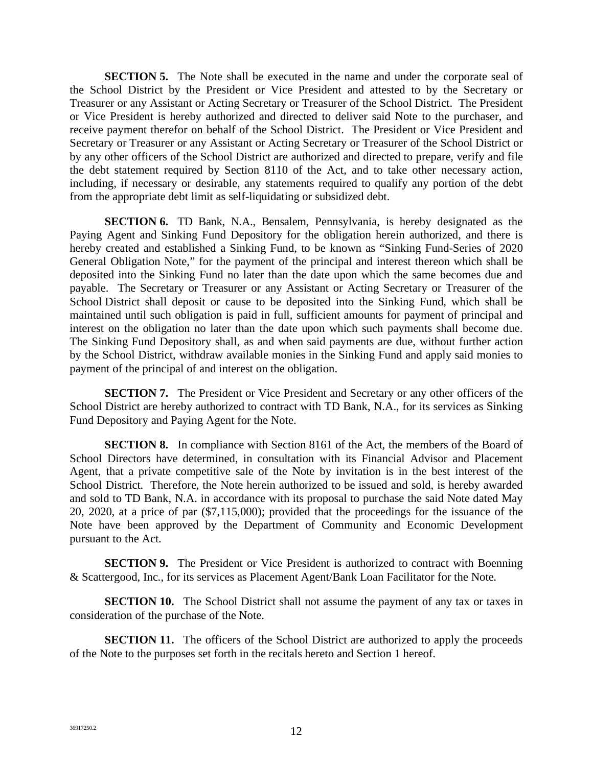**SECTION 5.** The Note shall be executed in the name and under the corporate seal of the School District by the President or Vice President and attested to by the Secretary or Treasurer or any Assistant or Acting Secretary or Treasurer of the School District. The President or Vice President is hereby authorized and directed to deliver said Note to the purchaser, and receive payment therefor on behalf of the School District. The President or Vice President and Secretary or Treasurer or any Assistant or Acting Secretary or Treasurer of the School District or by any other officers of the School District are authorized and directed to prepare, verify and file the debt statement required by Section 8110 of the Act, and to take other necessary action, including, if necessary or desirable, any statements required to qualify any portion of the debt from the appropriate debt limit as self-liquidating or subsidized debt.

**SECTION 6.** TD Bank, N.A., Bensalem, Pennsylvania, is hereby designated as the Paying Agent and Sinking Fund Depository for the obligation herein authorized, and there is hereby created and established a Sinking Fund, to be known as "Sinking Fund-Series of 2020 General Obligation Note," for the payment of the principal and interest thereon which shall be deposited into the Sinking Fund no later than the date upon which the same becomes due and payable. The Secretary or Treasurer or any Assistant or Acting Secretary or Treasurer of the School District shall deposit or cause to be deposited into the Sinking Fund, which shall be maintained until such obligation is paid in full, sufficient amounts for payment of principal and interest on the obligation no later than the date upon which such payments shall become due. The Sinking Fund Depository shall, as and when said payments are due, without further action by the School District, withdraw available monies in the Sinking Fund and apply said monies to payment of the principal of and interest on the obligation.

**SECTION 7.** The President or Vice President and Secretary or any other officers of the School District are hereby authorized to contract with TD Bank, N.A., for its services as Sinking Fund Depository and Paying Agent for the Note.

**SECTION 8.** In compliance with Section 8161 of the Act, the members of the Board of School Directors have determined, in consultation with its Financial Advisor and Placement Agent, that a private competitive sale of the Note by invitation is in the best interest of the School District. Therefore, the Note herein authorized to be issued and sold, is hereby awarded and sold to TD Bank, N.A. in accordance with its proposal to purchase the said Note dated May 20, 2020, at a price of par (\$7,115,000); provided that the proceedings for the issuance of the Note have been approved by the Department of Community and Economic Development pursuant to the Act.

**SECTION 9.** The President or Vice President is authorized to contract with Boenning & Scattergood, Inc., for its services as Placement Agent/Bank Loan Facilitator for the Note.

**SECTION 10.** The School District shall not assume the payment of any tax or taxes in consideration of the purchase of the Note.

**SECTION 11.** The officers of the School District are authorized to apply the proceeds of the Note to the purposes set forth in the recitals hereto and Section 1 hereof.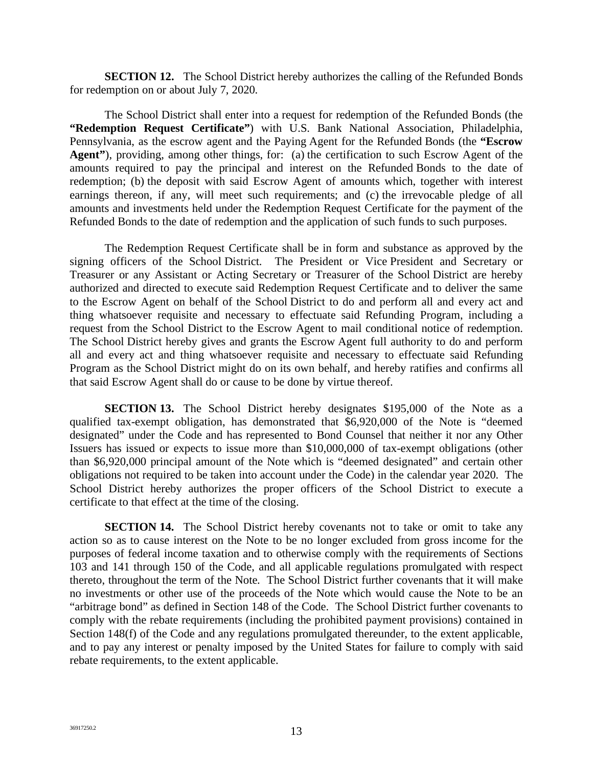**SECTION 12.** The School District hereby authorizes the calling of the Refunded Bonds for redemption on or about July 7, 2020.

The School District shall enter into a request for redemption of the Refunded Bonds (the **"Redemption Request Certificate"**) with U.S. Bank National Association, Philadelphia, Pennsylvania, as the escrow agent and the Paying Agent for the Refunded Bonds (the **"Escrow Agent"**), providing, among other things, for: (a) the certification to such Escrow Agent of the amounts required to pay the principal and interest on the Refunded Bonds to the date of redemption; (b) the deposit with said Escrow Agent of amounts which, together with interest earnings thereon, if any, will meet such requirements; and (c) the irrevocable pledge of all amounts and investments held under the Redemption Request Certificate for the payment of the Refunded Bonds to the date of redemption and the application of such funds to such purposes.

The Redemption Request Certificate shall be in form and substance as approved by the signing officers of the School District. The President or Vice President and Secretary or Treasurer or any Assistant or Acting Secretary or Treasurer of the School District are hereby authorized and directed to execute said Redemption Request Certificate and to deliver the same to the Escrow Agent on behalf of the School District to do and perform all and every act and thing whatsoever requisite and necessary to effectuate said Refunding Program, including a request from the School District to the Escrow Agent to mail conditional notice of redemption. The School District hereby gives and grants the Escrow Agent full authority to do and perform all and every act and thing whatsoever requisite and necessary to effectuate said Refunding Program as the School District might do on its own behalf, and hereby ratifies and confirms all that said Escrow Agent shall do or cause to be done by virtue thereof.

**SECTION 13.** The School District hereby designates \$195,000 of the Note as a qualified tax-exempt obligation, has demonstrated that \$6,920,000 of the Note is "deemed designated" under the Code and has represented to Bond Counsel that neither it nor any Other Issuers has issued or expects to issue more than \$10,000,000 of tax-exempt obligations (other than \$6,920,000 principal amount of the Note which is "deemed designated" and certain other obligations not required to be taken into account under the Code) in the calendar year 2020. The School District hereby authorizes the proper officers of the School District to execute a certificate to that effect at the time of the closing.

**SECTION 14.** The School District hereby covenants not to take or omit to take any action so as to cause interest on the Note to be no longer excluded from gross income for the purposes of federal income taxation and to otherwise comply with the requirements of Sections 103 and 141 through 150 of the Code, and all applicable regulations promulgated with respect thereto, throughout the term of the Note. The School District further covenants that it will make no investments or other use of the proceeds of the Note which would cause the Note to be an "arbitrage bond" as defined in Section 148 of the Code. The School District further covenants to comply with the rebate requirements (including the prohibited payment provisions) contained in Section 148(f) of the Code and any regulations promulgated thereunder, to the extent applicable, and to pay any interest or penalty imposed by the United States for failure to comply with said rebate requirements, to the extent applicable.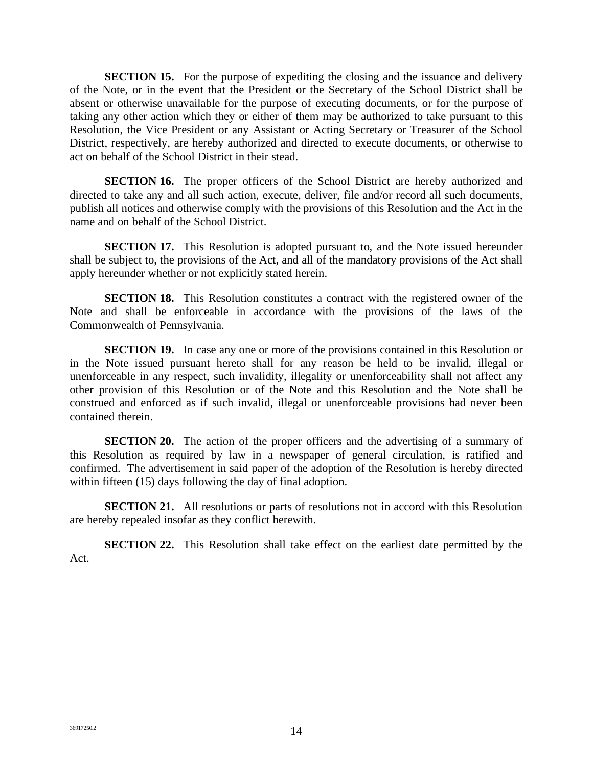**SECTION 15.** For the purpose of expediting the closing and the issuance and delivery of the Note, or in the event that the President or the Secretary of the School District shall be absent or otherwise unavailable for the purpose of executing documents, or for the purpose of taking any other action which they or either of them may be authorized to take pursuant to this Resolution, the Vice President or any Assistant or Acting Secretary or Treasurer of the School District, respectively, are hereby authorized and directed to execute documents, or otherwise to act on behalf of the School District in their stead.

**SECTION 16.** The proper officers of the School District are hereby authorized and directed to take any and all such action, execute, deliver, file and/or record all such documents, publish all notices and otherwise comply with the provisions of this Resolution and the Act in the name and on behalf of the School District.

**SECTION 17.** This Resolution is adopted pursuant to, and the Note issued hereunder shall be subject to, the provisions of the Act, and all of the mandatory provisions of the Act shall apply hereunder whether or not explicitly stated herein.

**SECTION 18.** This Resolution constitutes a contract with the registered owner of the Note and shall be enforceable in accordance with the provisions of the laws of the Commonwealth of Pennsylvania.

**SECTION 19.** In case any one or more of the provisions contained in this Resolution or in the Note issued pursuant hereto shall for any reason be held to be invalid, illegal or unenforceable in any respect, such invalidity, illegality or unenforceability shall not affect any other provision of this Resolution or of the Note and this Resolution and the Note shall be construed and enforced as if such invalid, illegal or unenforceable provisions had never been contained therein.

**SECTION 20.** The action of the proper officers and the advertising of a summary of this Resolution as required by law in a newspaper of general circulation, is ratified and confirmed. The advertisement in said paper of the adoption of the Resolution is hereby directed within fifteen (15) days following the day of final adoption.

**SECTION 21.** All resolutions or parts of resolutions not in accord with this Resolution are hereby repealed insofar as they conflict herewith.

**SECTION 22.** This Resolution shall take effect on the earliest date permitted by the Act.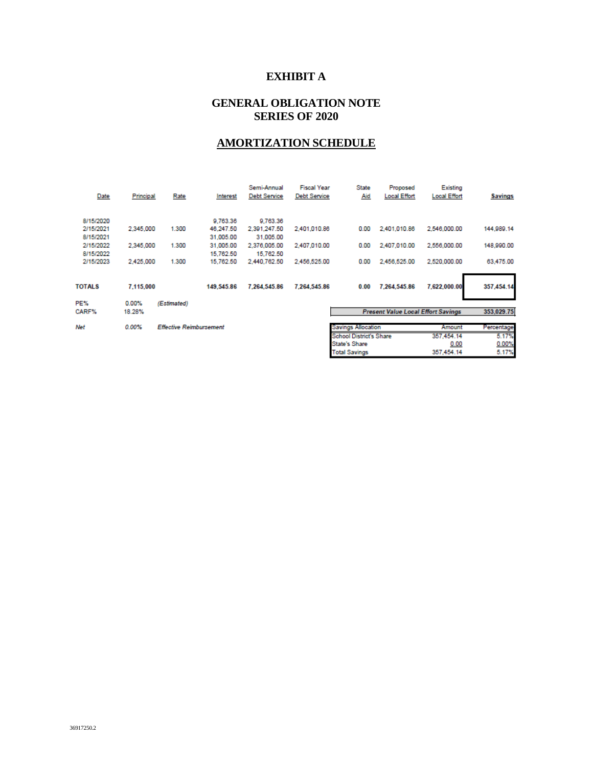# **EXHIBIT A**

### **GENERAL OBLIGATION NOTE SERIES OF 2020**

# **AMORTIZATION SCHEDULE**

| Date          | Principal | Rate                           | Interest   | Semi-Annual<br><b>Debt Service</b> | <b>Fiscal Year</b><br><b>Debt Service</b> | <b>State</b><br><u>Aid</u> | Proposed<br><b>Local Effort</b>           | Existing<br><b>Local Effort</b> | <b>Savings</b> |
|---------------|-----------|--------------------------------|------------|------------------------------------|-------------------------------------------|----------------------------|-------------------------------------------|---------------------------------|----------------|
| 8/15/2020     |           |                                | 9.763.36   | 9.763.36                           |                                           |                            |                                           |                                 |                |
| 2/15/2021     | 2,345,000 | 1.300                          | 46.247.50  | 2.391.247.50                       | 2.401.010.86                              | 0.00                       | 2,401,010.86                              | 2,546,000.00                    | 144,989.14     |
| 8/15/2021     |           |                                | 31,005.00  | 31,005.00                          |                                           |                            |                                           |                                 |                |
| 2/15/2022     | 2,345,000 | 1.300                          | 31,005.00  | 2.376.005.00                       | 2.407.010.00                              | 0.00                       | 2,407,010.00                              | 2,556,000.00                    | 148,990.00     |
| 8/15/2022     |           |                                | 15,762.50  | 15,762.50                          |                                           |                            |                                           |                                 |                |
| 2/15/2023     | 2,425,000 | 1.300                          | 15.762.50  | 2.440.762.50                       | 2.456.525.00                              | 0.00                       | 2.456.525.00                              | 2.520.000.00                    | 63,475.00      |
|               |           |                                |            |                                    |                                           |                            |                                           |                                 |                |
| <b>TOTALS</b> | 7,115,000 |                                | 149.545.86 | 7.264.545.86                       | 7,264,545.86                              | 0.00                       | 7.264.545.86                              | 7,622,000.00                    | 357,454.14     |
| PE%           | 0.00%     | (Estimated)                    |            |                                    |                                           |                            |                                           |                                 |                |
| CARF%         | 18.28%    |                                |            |                                    |                                           |                            | <b>Present Value Local Effort Savings</b> |                                 | 353,029.75     |
|               |           |                                |            |                                    |                                           |                            |                                           |                                 |                |
| Net           | $0.00\%$  | <b>Effective Reimbursement</b> |            |                                    |                                           | <b>Savings Allocation</b>  |                                           | Amount                          | Percentage     |

| <b>Savings Allocation</b>      | Amount     | Percentage |
|--------------------------------|------------|------------|
| <b>School District's Share</b> | 357,454.14 | 5.17%      |
| State's Share                  | 0.00       | 0.00%      |
| <b>Total Savings</b>           | 357.454.14 | 5.17%      |